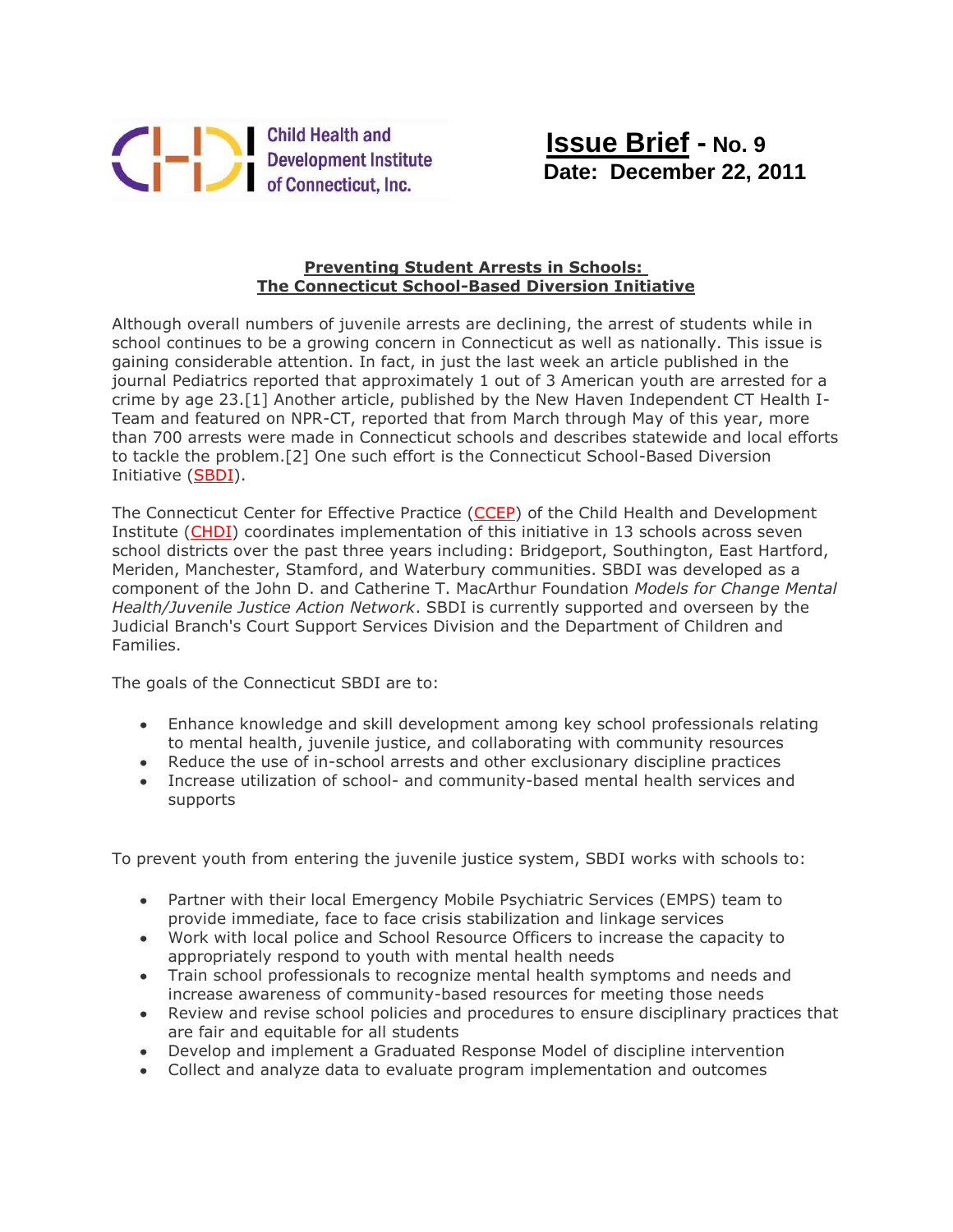

## **Preventing Student Arrests in Schools: The Connecticut School-Based Diversion Initiative**

Although overall numbers of juvenile arrests are declining, the arrest of students while in school continues to be a growing concern in Connecticut as well as nationally. This issue is gaining considerable attention. In fact, in just the last week an article published in the journal Pediatrics reported that approximately 1 out of 3 American youth are arrested for a crime by age 23.[1] Another article, published by the New Haven Independent CT Health I-Team and featured on NPR-CT, reported that from March through May of this year, more than 700 arrests were made in Connecticut schools and describes statewide and local efforts to tackle the problem.[2] One such effort is the Connecticut School-Based Diversion Initiative [\(SBDI\)](http://r20.rs6.net/tn.jsp?llr=s7quz7dab&et=1108995941742&s=0&e=001KF6sYr5WZh2Muuvjhl3yS4eR-JpZUTaChuhunE0vCQCT9J9sfCxhRJE_FjKvnnCehuOv_mgHNHFz9ytipKuzGD7eU93o0uqZbOfUky7tPRNd4owHwNepDDuKKlHHoezZPa56vjxhu6cVjJZWEkL3DhcPUs0g9UvgTLqpHhPb4V8=).

The Connecticut Center for Effective Practice [\(CCEP\)](http://r20.rs6.net/tn.jsp?llr=s7quz7dab&et=1108995941742&s=0&e=001KF6sYr5WZh2Muuvjhl3yS4eR-JpZUTaChuhunE0vCQCT9J9sfCxhRJE_FjKvnnCehuOv_mgHNHFz9ytipKuzGD7eU93o0uqZbOfUky7tPRPOVSFPwYy--A==) of the Child Health and Development Institute [\(CHDI\)](http://r20.rs6.net/tn.jsp?llr=s7quz7dab&et=1108995941742&s=0&e=001KF6sYr5WZh2Muuvjhl3yS4eR-JpZUTaChuhunE0vCQCT9J9sfCxhRJE_FjKvnnCehuOv_mgHNHFz9ytipKuzGD7eU93o0uqZcbvVBXU_-vs=) coordinates implementation of this initiative in 13 schools across seven school districts over the past three years including: Bridgeport, Southington, East Hartford, Meriden, Manchester, Stamford, and Waterbury communities. SBDI was developed as a component of the John D. and Catherine T. MacArthur Foundation *Models for Change Mental Health/Juvenile Justice Action Network*. SBDI is currently supported and overseen by the Judicial Branch's Court Support Services Division and the Department of Children and Families.

The goals of the Connecticut SBDI are to:

- Enhance knowledge and skill development among key school professionals relating to mental health, juvenile justice, and collaborating with community resources
- Reduce the use of in-school arrests and other exclusionary discipline practices
- Increase utilization of school- and community-based mental health services and supports

To prevent youth from entering the juvenile justice system, SBDI works with schools to:

- Partner with their local Emergency Mobile Psychiatric Services (EMPS) team to provide immediate, face to face crisis stabilization and linkage services
- Work with local police and School Resource Officers to increase the capacity to appropriately respond to youth with mental health needs
- Train school professionals to recognize mental health symptoms and needs and increase awareness of community-based resources for meeting those needs
- Review and revise school policies and procedures to ensure disciplinary practices that are fair and equitable for all students
- Develop and implement a Graduated Response Model of discipline intervention
- Collect and analyze data to evaluate program implementation and outcomes